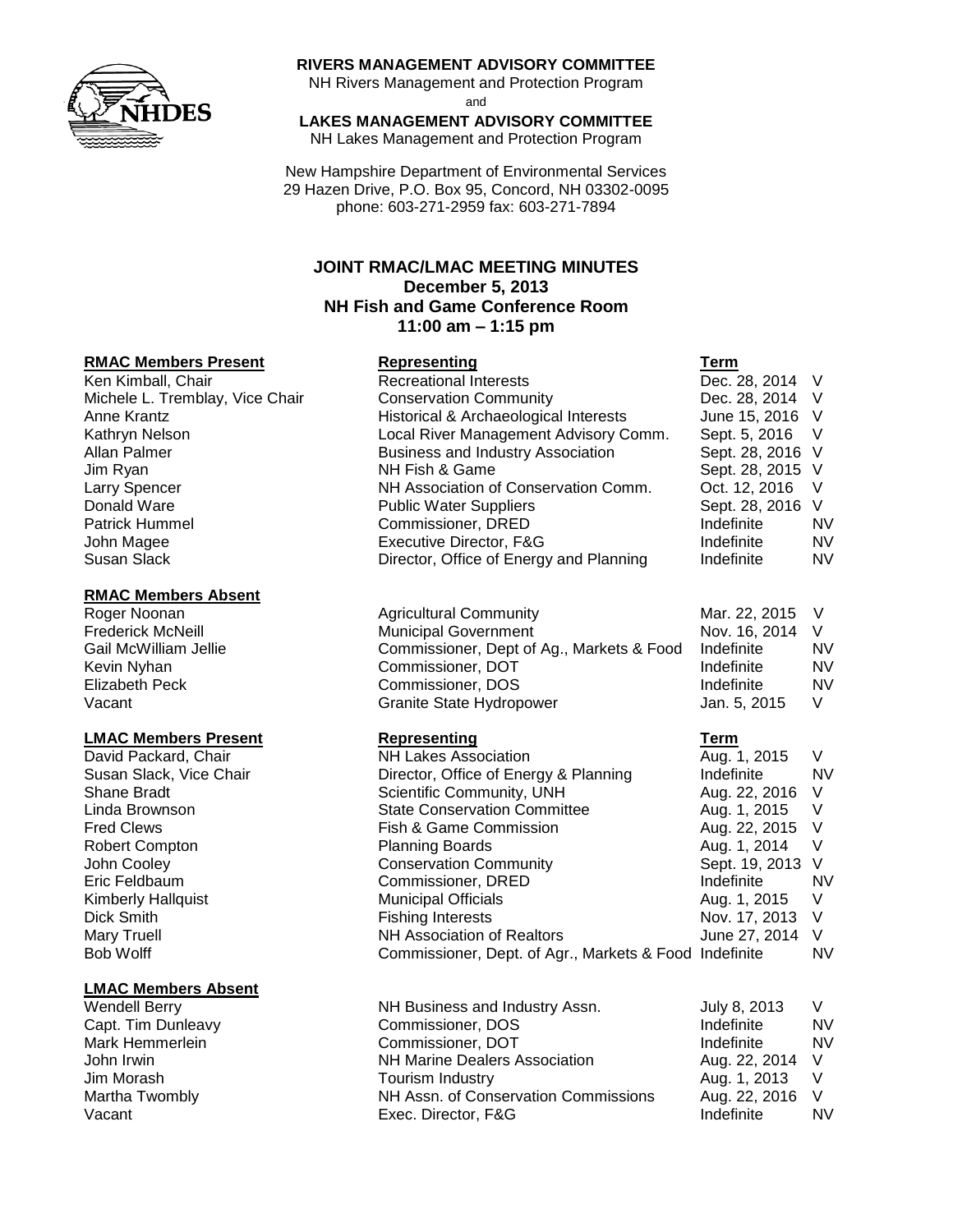

### **RIVERS MANAGEMENT ADVISORY COMMITTEE**

NH Rivers Management and Protection Program and

# **LAKES MANAGEMENT ADVISORY COMMITTEE**

NH Lakes Management and Protection Program

New Hampshire Department of Environmental Services 29 Hazen Drive, P.O. Box 95, Concord, NH 03302-0095 phone: 603-271-2959 fax: 603-271-7894

# **JOINT RMAC/LMAC MEETING MINUTES December 5, 2013 NH Fish and Game Conference Room 11:00 am – 1:15 pm**

### **RMAC Members Present Representing Term**

#### **RMAC Members Absent**

### **LMAC Members Present Representing Term**

### **LMAC Members Absent**

| Ken Kimball, Chair              | <b>Recreational Interests</b>            | Dec. 28, 2014 V  |           |
|---------------------------------|------------------------------------------|------------------|-----------|
| Michele L. Tremblay, Vice Chair | <b>Conservation Community</b>            | Dec. 28, 2014 V  |           |
| Anne Krantz                     | Historical & Archaeological Interests    | June 15, 2016 V  |           |
| Kathryn Nelson                  | Local River Management Advisory Comm.    | Sept. 5, 2016 V  |           |
| Allan Palmer                    | <b>Business and Industry Association</b> | Sept. 28, 2016 V |           |
| Jim Ryan                        | NH Fish & Game                           | Sept. 28, 2015 V |           |
| Larry Spencer                   | NH Association of Conservation Comm.     | Oct. 12, 2016    | - V       |
| Donald Ware                     | <b>Public Water Suppliers</b>            | Sept. 28, 2016 V |           |
| <b>Patrick Hummel</b>           | Commissioner, DRED                       | Indefinite       | <b>NV</b> |
| John Magee                      | Executive Director, F&G                  | Indefinite       | <b>NV</b> |
| Susan Slack                     | Director, Office of Energy and Planning  | Indefinite       | <b>NV</b> |
|                                 |                                          |                  |           |

| Roger Noonan             | <b>Agricultural Community</b>             | Mar. 22, 2015 V |           |
|--------------------------|-------------------------------------------|-----------------|-----------|
| <b>Frederick McNeill</b> | <b>Municipal Government</b>               | Nov. 16, 2014 V |           |
| Gail McWilliam Jellie    | Commissioner, Dept of Ag., Markets & Food | Indefinite      | <b>NV</b> |
| Kevin Nyhan              | Commissioner, DOT                         | Indefinite      | <b>NV</b> |
| Elizabeth Peck           | Commissioner, DOS                         | Indefinite      | <b>NV</b> |
| Vacant                   | Granite State Hydropower                  | Jan. 5, 2015    |           |

| David Packard, Chair      | <b>NH Lakes Association</b>                            | Aug. 1, 2015     | V         |
|---------------------------|--------------------------------------------------------|------------------|-----------|
| Susan Slack, Vice Chair   | Director, Office of Energy & Planning                  | Indefinite       | <b>NV</b> |
| Shane Bradt               | Scientific Community, UNH                              | Aug. 22, 2016 V  |           |
| Linda Brownson            | <b>State Conservation Committee</b>                    | Aug. 1, 2015     | $\vee$    |
| <b>Fred Clews</b>         | Fish & Game Commission                                 | Aug. 22, 2015 V  |           |
| <b>Robert Compton</b>     | <b>Planning Boards</b>                                 | Aug. 1, 2014     | V         |
| John Cooley               | <b>Conservation Community</b>                          | Sept. 19, 2013 V |           |
| Eric Feldbaum             | Commissioner, DRED                                     | Indefinite       | <b>NV</b> |
| <b>Kimberly Hallquist</b> | <b>Municipal Officials</b>                             | Aug. 1, 2015 V   |           |
| Dick Smith                | <b>Fishing Interests</b>                               | Nov. 17, 2013 V  |           |
| Mary Truell               | NH Association of Realtors                             | June 27, 2014 V  |           |
| Bob Wolff                 | Commissioner, Dept. of Agr., Markets & Food Indefinite |                  | <b>NV</b> |

| Wendell Berry      | NH Business and Industry Assn.       | July 8, 2013    |    |
|--------------------|--------------------------------------|-----------------|----|
| Capt. Tim Dunleavy | Commissioner, DOS                    | Indefinite      | NV |
| Mark Hemmerlein    | Commissioner, DOT                    | Indefinite      | NV |
| John Irwin         | <b>NH Marine Dealers Association</b> | Aug. 22, 2014 V |    |
| Jim Morash         | Tourism Industry                     | Aug. 1, 2013 V  |    |
| Martha Twombly     | NH Assn. of Conservation Commissions | Aug. 22, 2016 V |    |
| Vacant             | Exec. Director, F&G                  | Indefinite      | NV |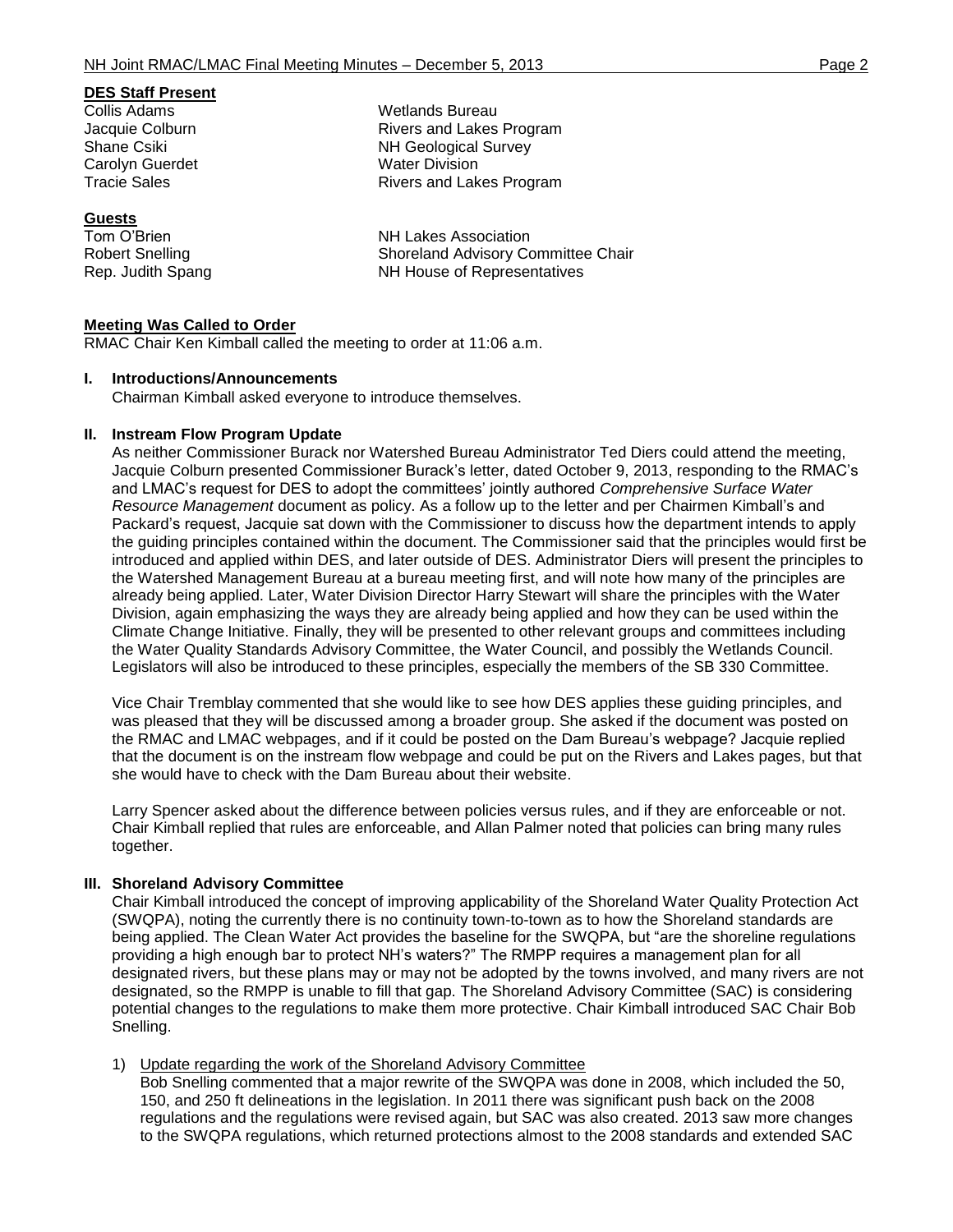### **DES Staff Present**

Collis Adams Wetlands Bureau Carolyn Guerdet **Water Division**<br>
Tracie Sales<br>
Tracie Sales

### **Guests**

Jacquie Colburn **Rivers** and Lakes Program Shane Csiki NH Geological Survey Rivers and Lakes Program

Tom O'Brien NH Lakes Association Robert Snelling The Shoreland Advisory Committee Chair Rep. Judith Spang NH House of Representatives

### **Meeting Was Called to Order**

RMAC Chair Ken Kimball called the meeting to order at 11:06 a.m.

#### **I. Introductions/Announcements**

Chairman Kimball asked everyone to introduce themselves.

### **II. Instream Flow Program Update**

As neither Commissioner Burack nor Watershed Bureau Administrator Ted Diers could attend the meeting, Jacquie Colburn presented Commissioner Burack's letter, dated October 9, 2013, responding to the RMAC's and LMAC's request for DES to adopt the committees' jointly authored *Comprehensive Surface Water Resource Management* document as policy. As a follow up to the letter and per Chairmen Kimball's and Packard's request, Jacquie sat down with the Commissioner to discuss how the department intends to apply the guiding principles contained within the document. The Commissioner said that the principles would first be introduced and applied within DES, and later outside of DES. Administrator Diers will present the principles to the Watershed Management Bureau at a bureau meeting first, and will note how many of the principles are already being applied. Later, Water Division Director Harry Stewart will share the principles with the Water Division, again emphasizing the ways they are already being applied and how they can be used within the Climate Change Initiative. Finally, they will be presented to other relevant groups and committees including the Water Quality Standards Advisory Committee, the Water Council, and possibly the Wetlands Council. Legislators will also be introduced to these principles, especially the members of the SB 330 Committee.

Vice Chair Tremblay commented that she would like to see how DES applies these guiding principles, and was pleased that they will be discussed among a broader group. She asked if the document was posted on the RMAC and LMAC webpages, and if it could be posted on the Dam Bureau's webpage? Jacquie replied that the document is on the instream flow webpage and could be put on the Rivers and Lakes pages, but that she would have to check with the Dam Bureau about their website.

Larry Spencer asked about the difference between policies versus rules, and if they are enforceable or not. Chair Kimball replied that rules are enforceable, and Allan Palmer noted that policies can bring many rules together.

### **III. Shoreland Advisory Committee**

Chair Kimball introduced the concept of improving applicability of the Shoreland Water Quality Protection Act (SWQPA), noting the currently there is no continuity town-to-town as to how the Shoreland standards are being applied. The Clean Water Act provides the baseline for the SWQPA, but "are the shoreline regulations providing a high enough bar to protect NH's waters?" The RMPP requires a management plan for all designated rivers, but these plans may or may not be adopted by the towns involved, and many rivers are not designated, so the RMPP is unable to fill that gap. The Shoreland Advisory Committee (SAC) is considering potential changes to the regulations to make them more protective. Chair Kimball introduced SAC Chair Bob Snelling.

#### 1) Update regarding the work of the Shoreland Advisory Committee

Bob Snelling commented that a major rewrite of the SWQPA was done in 2008, which included the 50, 150, and 250 ft delineations in the legislation. In 2011 there was significant push back on the 2008 regulations and the regulations were revised again, but SAC was also created. 2013 saw more changes to the SWQPA regulations, which returned protections almost to the 2008 standards and extended SAC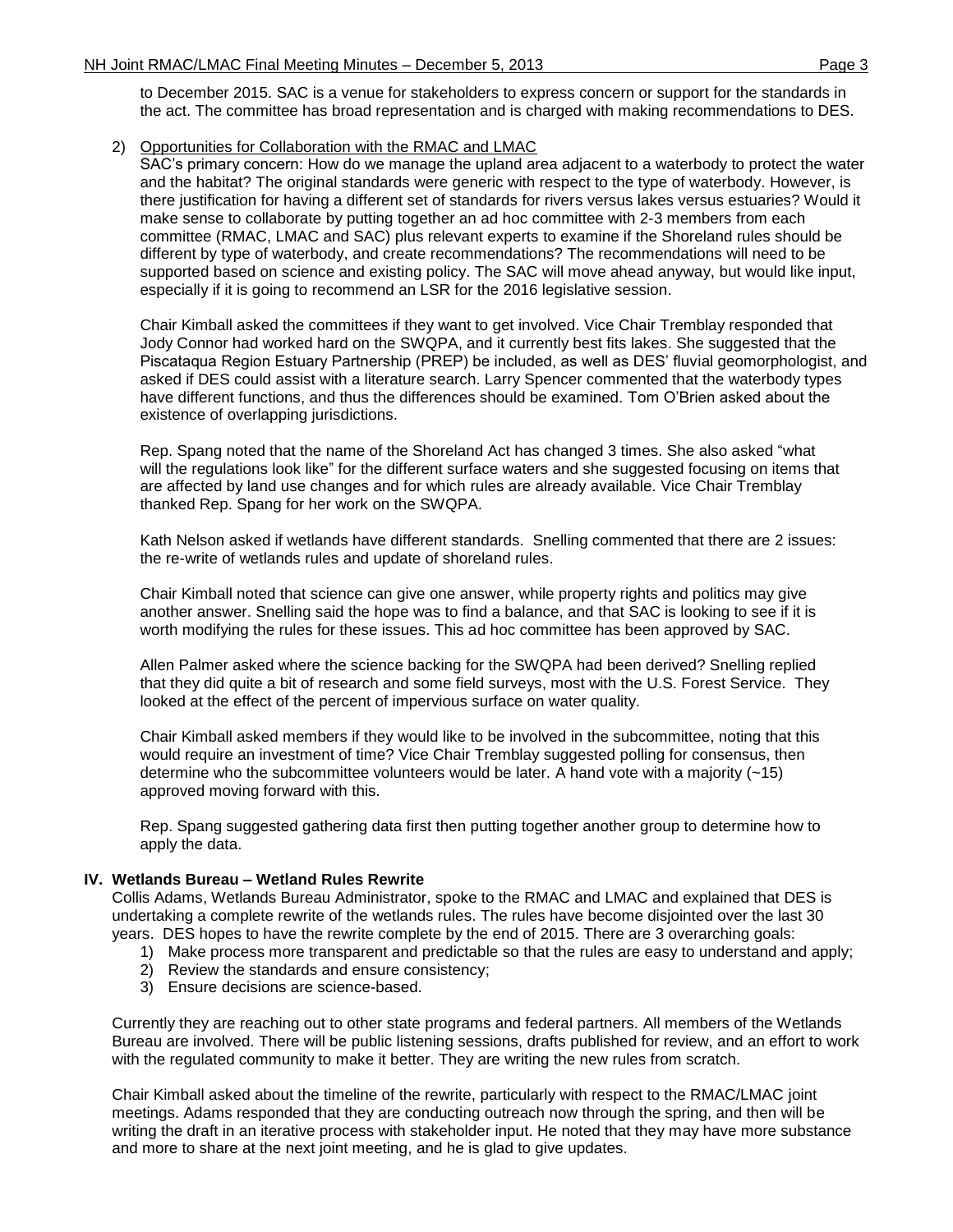to December 2015. SAC is a venue for stakeholders to express concern or support for the standards in the act. The committee has broad representation and is charged with making recommendations to DES.

2) Opportunities for Collaboration with the RMAC and LMAC

SAC's primary concern: How do we manage the upland area adjacent to a waterbody to protect the water and the habitat? The original standards were generic with respect to the type of waterbody. However, is there justification for having a different set of standards for rivers versus lakes versus estuaries? Would it make sense to collaborate by putting together an ad hoc committee with 2-3 members from each committee (RMAC, LMAC and SAC) plus relevant experts to examine if the Shoreland rules should be different by type of waterbody, and create recommendations? The recommendations will need to be supported based on science and existing policy. The SAC will move ahead anyway, but would like input, especially if it is going to recommend an LSR for the 2016 legislative session.

Chair Kimball asked the committees if they want to get involved. Vice Chair Tremblay responded that Jody Connor had worked hard on the SWQPA, and it currently best fits lakes. She suggested that the Piscataqua Region Estuary Partnership (PREP) be included, as well as DES' fluvial geomorphologist, and asked if DES could assist with a literature search. Larry Spencer commented that the waterbody types have different functions, and thus the differences should be examined. Tom O'Brien asked about the existence of overlapping jurisdictions.

Rep. Spang noted that the name of the Shoreland Act has changed 3 times. She also asked "what will the regulations look like" for the different surface waters and she suggested focusing on items that are affected by land use changes and for which rules are already available. Vice Chair Tremblay thanked Rep. Spang for her work on the SWQPA.

Kath Nelson asked if wetlands have different standards. Snelling commented that there are 2 issues: the re-write of wetlands rules and update of shoreland rules.

Chair Kimball noted that science can give one answer, while property rights and politics may give another answer. Snelling said the hope was to find a balance, and that SAC is looking to see if it is worth modifying the rules for these issues. This ad hoc committee has been approved by SAC.

Allen Palmer asked where the science backing for the SWQPA had been derived? Snelling replied that they did quite a bit of research and some field surveys, most with the U.S. Forest Service. They looked at the effect of the percent of impervious surface on water quality.

Chair Kimball asked members if they would like to be involved in the subcommittee, noting that this would require an investment of time? Vice Chair Tremblay suggested polling for consensus, then determine who the subcommittee volunteers would be later. A hand vote with a majority  $(-15)$ approved moving forward with this.

Rep. Spang suggested gathering data first then putting together another group to determine how to apply the data.

### **IV. Wetlands Bureau – Wetland Rules Rewrite**

Collis Adams, Wetlands Bureau Administrator, spoke to the RMAC and LMAC and explained that DES is undertaking a complete rewrite of the wetlands rules. The rules have become disjointed over the last 30 years. DES hopes to have the rewrite complete by the end of 2015. There are 3 overarching goals:

- 1) Make process more transparent and predictable so that the rules are easy to understand and apply;
- 2) Review the standards and ensure consistency;
- 3) Ensure decisions are science-based.

Currently they are reaching out to other state programs and federal partners. All members of the Wetlands Bureau are involved. There will be public listening sessions, drafts published for review, and an effort to work with the regulated community to make it better. They are writing the new rules from scratch.

Chair Kimball asked about the timeline of the rewrite, particularly with respect to the RMAC/LMAC joint meetings. Adams responded that they are conducting outreach now through the spring, and then will be writing the draft in an iterative process with stakeholder input. He noted that they may have more substance and more to share at the next joint meeting, and he is glad to give updates.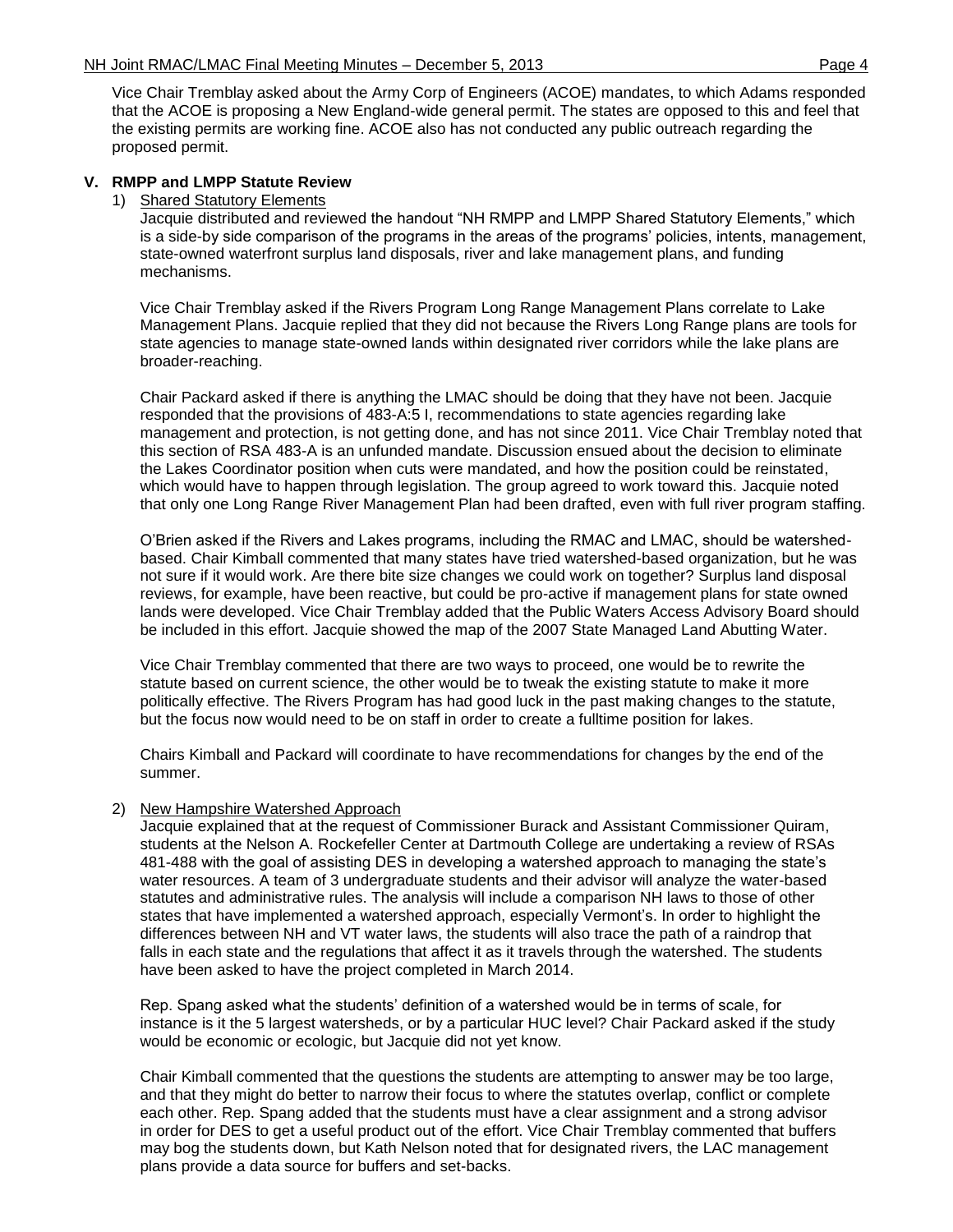Vice Chair Tremblay asked about the Army Corp of Engineers (ACOE) mandates, to which Adams responded that the ACOE is proposing a New England-wide general permit. The states are opposed to this and feel that the existing permits are working fine. ACOE also has not conducted any public outreach regarding the proposed permit.

## **V. RMPP and LMPP Statute Review**

#### 1) Shared Statutory Elements

Jacquie distributed and reviewed the handout "NH RMPP and LMPP Shared Statutory Elements," which is a side-by side comparison of the programs in the areas of the programs' policies, intents, management, state-owned waterfront surplus land disposals, river and lake management plans, and funding mechanisms.

Vice Chair Tremblay asked if the Rivers Program Long Range Management Plans correlate to Lake Management Plans. Jacquie replied that they did not because the Rivers Long Range plans are tools for state agencies to manage state-owned lands within designated river corridors while the lake plans are broader-reaching.

Chair Packard asked if there is anything the LMAC should be doing that they have not been. Jacquie responded that the provisions of 483-A:5 I, recommendations to state agencies regarding lake management and protection, is not getting done, and has not since 2011. Vice Chair Tremblay noted that this section of RSA 483-A is an unfunded mandate. Discussion ensued about the decision to eliminate the Lakes Coordinator position when cuts were mandated, and how the position could be reinstated, which would have to happen through legislation. The group agreed to work toward this. Jacquie noted that only one Long Range River Management Plan had been drafted, even with full river program staffing.

O'Brien asked if the Rivers and Lakes programs, including the RMAC and LMAC, should be watershedbased. Chair Kimball commented that many states have tried watershed-based organization, but he was not sure if it would work. Are there bite size changes we could work on together? Surplus land disposal reviews, for example, have been reactive, but could be pro-active if management plans for state owned lands were developed. Vice Chair Tremblay added that the Public Waters Access Advisory Board should be included in this effort. Jacquie showed the map of the 2007 State Managed Land Abutting Water.

Vice Chair Tremblay commented that there are two ways to proceed, one would be to rewrite the statute based on current science, the other would be to tweak the existing statute to make it more politically effective. The Rivers Program has had good luck in the past making changes to the statute, but the focus now would need to be on staff in order to create a fulltime position for lakes.

Chairs Kimball and Packard will coordinate to have recommendations for changes by the end of the summer.

### 2) New Hampshire Watershed Approach

Jacquie explained that at the request of Commissioner Burack and Assistant Commissioner Quiram, students at the Nelson A. Rockefeller Center at Dartmouth College are undertaking a review of RSAs 481-488 with the goal of assisting DES in developing a watershed approach to managing the state's water resources. A team of 3 undergraduate students and their advisor will analyze the water-based statutes and administrative rules. The analysis will include a comparison NH laws to those of other states that have implemented a watershed approach, especially Vermont's. In order to highlight the differences between NH and VT water laws, the students will also trace the path of a raindrop that falls in each state and the regulations that affect it as it travels through the watershed. The students have been asked to have the project completed in March 2014.

Rep. Spang asked what the students' definition of a watershed would be in terms of scale, for instance is it the 5 largest watersheds, or by a particular HUC level? Chair Packard asked if the study would be economic or ecologic, but Jacquie did not yet know.

Chair Kimball commented that the questions the students are attempting to answer may be too large, and that they might do better to narrow their focus to where the statutes overlap, conflict or complete each other. Rep. Spang added that the students must have a clear assignment and a strong advisor in order for DES to get a useful product out of the effort. Vice Chair Tremblay commented that buffers may bog the students down, but Kath Nelson noted that for designated rivers, the LAC management plans provide a data source for buffers and set-backs.